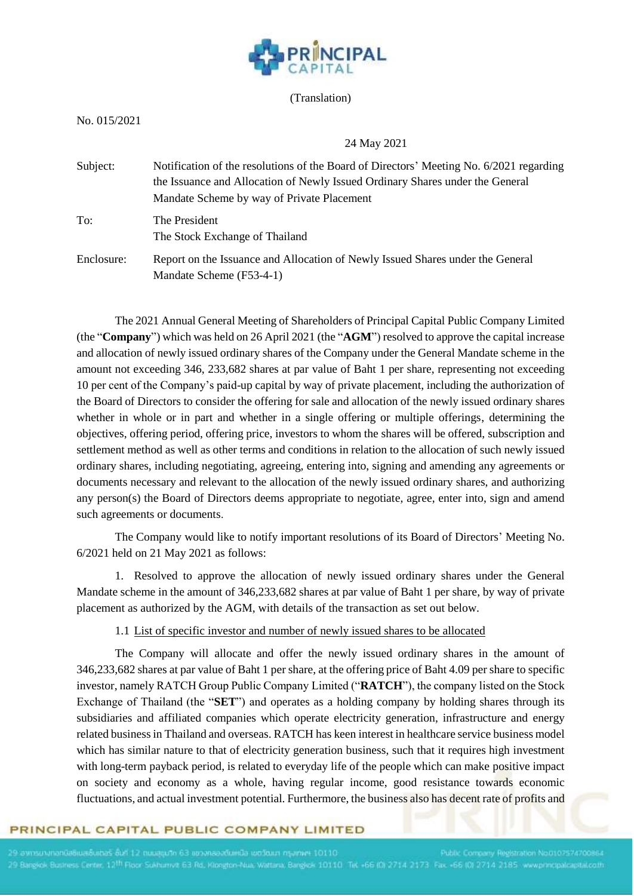

#### (Translation)

No. 015/2021

#### 24 May 2021

| Subject:   | Notification of the resolutions of the Board of Directors' Meeting No. 6/2021 regarding<br>the Issuance and Allocation of Newly Issued Ordinary Shares under the General<br>Mandate Scheme by way of Private Placement |
|------------|------------------------------------------------------------------------------------------------------------------------------------------------------------------------------------------------------------------------|
| To:        | The President<br>The Stock Exchange of Thailand                                                                                                                                                                        |
| Enclosure: | Report on the Issuance and Allocation of Newly Issued Shares under the General<br>Mandate Scheme (F53-4-1)                                                                                                             |

The 2021 Annual General Meeting of Shareholders of Principal Capital Public Company Limited (the "**Company**") which was held on 26 April 2021 (the "**AGM**") resolved to approve the capital increase and allocation of newly issued ordinary shares of the Company under the General Mandate scheme in the amount not exceeding 346, 233,682 shares at par value of Baht 1 per share, representing not exceeding 10 per cent of the Company's paid-up capital by way of private placement, including the authorization of the Board of Directors to consider the offering for sale and allocation of the newly issued ordinary shares whether in whole or in part and whether in a single offering or multiple offerings, determining the objectives, offering period, offering price, investors to whom the shares will be offered, subscription and settlement method as well as other terms and conditions in relation to the allocation of such newly issued ordinary shares, including negotiating, agreeing, entering into, signing and amending any agreements or documents necessary and relevant to the allocation of the newly issued ordinary shares, and authorizing any person(s) the Board of Directors deems appropriate to negotiate, agree, enter into, sign and amend such agreements or documents.

The Company would like to notify important resolutions of its Board of Directors' Meeting No. 6/2021 held on 21 May 2021 as follows:

1. Resolved to approve the allocation of newly issued ordinary shares under the General Mandate scheme in the amount of 346,233,682 shares at par value of Baht 1 per share, by way of private placement as authorized by the AGM, with details of the transaction as set out below.

1.1 List of specific investor and number of newly issued shares to be allocated

The Company will allocate and offer the newly issued ordinary shares in the amount of 346,233,682 shares at par value of Baht 1 per share, at the offering price of Baht 4.09 per share to specific investor, namely RATCH Group Public Company Limited ("**RATCH**"), the company listed on the Stock Exchange of Thailand (the "**SET**") and operates as a holding company by holding shares through its subsidiaries and affiliated companies which operate electricity generation, infrastructure and energy related businessin Thailand and overseas. RATCH has keen interest in healthcare service business model which has similar nature to that of electricity generation business, such that it requires high investment with long-term payback period, is related to everyday life of the people which can make positive impact on society and economy as a whole, having regular income, good resistance towards economic fluctuations, and actual investment potential. Furthermore, the business also has decent rate of profits and

#### PRINCIPAL CAPITAL PUBLIC COMPANY LIMITED

/ Registration No.0107574700864 29 Bangkok Business Centre, 12<sup>th</sup> Floor Sukhumvit 63 Rd, Klongton-Nua, Wattana, Bangkok 10110. Tet +66 (0) 2714 2173 Fax +66 (0) 2714 2185 www.principalcapital.co.th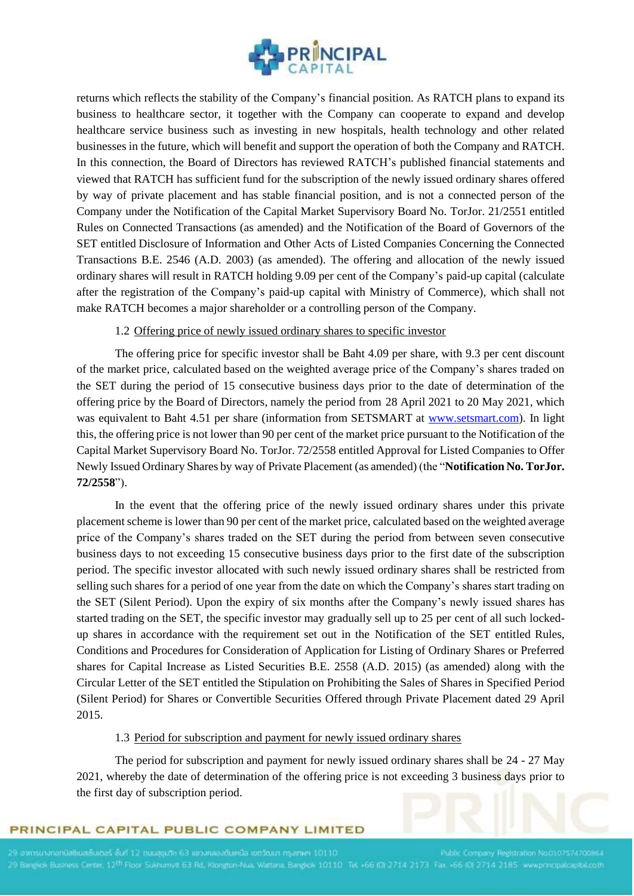

returns which reflects the stability of the Company's financial position. As RATCH plans to expand its business to healthcare sector, it together with the Company can cooperate to expand and develop healthcare service business such as investing in new hospitals, health technology and other related businesses in the future, which will benefit and support the operation of both the Company and RATCH. In this connection, the Board of Directors has reviewed RATCH's published financial statements and viewed that RATCH has sufficient fund for the subscription of the newly issued ordinary shares offered by way of private placement and has stable financial position, and is not a connected person of the Company under the Notification of the Capital Market Supervisory Board No. TorJor. 21/2551 entitled Rules on Connected Transactions (as amended) and the Notification of the Board of Governors of the SET entitled Disclosure of Information and Other Acts of Listed Companies Concerning the Connected Transactions B.E. 2546 (A.D. 2003) (as amended). The offering and allocation of the newly issued ordinary shares will result in RATCH holding 9.09 per cent of the Company's paid-up capital (calculate after the registration of the Company's paid-up capital with Ministry of Commerce), which shall not make RATCH becomes a major shareholder or a controlling person of the Company.

## 1.2 Offering price of newly issued ordinary shares to specific investor

The offering price for specific investor shall be Baht 4.09 per share, with 9.3 per cent discount of the market price, calculated based on the weighted average price of the Company's shares traded on the SET during the period of 15 consecutive business days prior to the date of determination of the offering price by the Board of Directors, namely the period from 28 April 2021 to 20 May 2021, which was equivalent to Baht 4.51 per share (information from SETSMART at [www.setsmart.com\)](http://www.setsmart.com/). In light this, the offering price is not lower than 90 per cent of the market price pursuant to the Notification of the Capital Market Supervisory Board No. TorJor. 72/2558 entitled Approval for Listed Companies to Offer Newly Issued Ordinary Shares by way of Private Placement (as amended) (the "**Notification No. TorJor. 72/2558**").

In the event that the offering price of the newly issued ordinary shares under this private placement scheme is lower than 90 per cent of the market price, calculated based on the weighted average price of the Company's shares traded on the SET during the period from between seven consecutive business days to not exceeding 15 consecutive business days prior to the first date of the subscription period. The specific investor allocated with such newly issued ordinary shares shall be restricted from selling such shares for a period of one year from the date on which the Company's shares start trading on the SET (Silent Period). Upon the expiry of six months after the Company's newly issued shares has started trading on the SET, the specific investor may gradually sell up to 25 per cent of all such lockedup shares in accordance with the requirement set out in the Notification of the SET entitled Rules, Conditions and Procedures for Consideration of Application for Listing of Ordinary Shares or Preferred shares for Capital Increase as Listed Securities B.E. 2558 (A.D. 2015) (as amended) along with the Circular Letter of the SET entitled the Stipulation on Prohibiting the Sales of Shares in Specified Period (Silent Period) for Shares or Convertible Securities Offered through Private Placement dated 29 April 2015.

#### 1.3 Period for subscription and payment for newly issued ordinary shares

The period for subscription and payment for newly issued ordinary shares shall be 24 - 27 May 2021, whereby the date of determination of the offering price is not exceeding 3 business days prior to the first day of subscription period.

## PRINCIPAL CAPITAL PUBLIC COMPANY LIMITED

y Registration No.0107574700864 29 Bangkok Business Centre, 12<sup>th</sup> Floor Sukhamvit 63 Rd. Klongton-Nua, Wattana, Bangkok 10110. Tet +66 (0) 2714 2173 Fax +66 (0) 2714 2185 www.principalis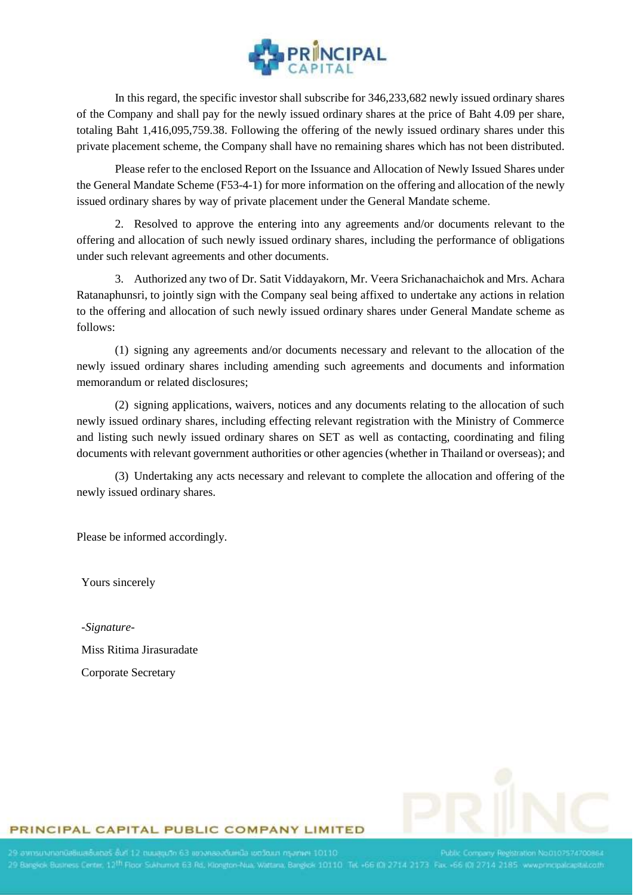

In this regard, the specific investor shall subscribe for 346,233,682 newly issued ordinary shares of the Company and shall pay for the newly issued ordinary shares at the price of Baht 4.09 per share, totaling Baht 1,416,095,759.38. Following the offering of the newly issued ordinary shares under this private placement scheme, the Company shall have no remaining shares which has not been distributed.

Please refer to the enclosed Report on the Issuance and Allocation of Newly Issued Shares under the General Mandate Scheme (F53-4-1) for more information on the offering and allocation of the newly issued ordinary shares by way of private placement under the General Mandate scheme.

2. Resolved to approve the entering into any agreements and/or documents relevant to the offering and allocation of such newly issued ordinary shares, including the performance of obligations under such relevant agreements and other documents.

3. Authorized any two of Dr. Satit Viddayakorn, Mr. Veera Srichanachaichok and Mrs. Achara Ratanaphunsri, to jointly sign with the Company seal being affixed to undertake any actions in relation to the offering and allocation of such newly issued ordinary shares under General Mandate scheme as follows:

(1) signing any agreements and/or documents necessary and relevant to the allocation of the newly issued ordinary shares including amending such agreements and documents and information memorandum or related disclosures;

(2) signing applications, waivers, notices and any documents relating to the allocation of such newly issued ordinary shares, including effecting relevant registration with the Ministry of Commerce and listing such newly issued ordinary shares on SET as well as contacting, coordinating and filing documents with relevant government authorities or other agencies (whether in Thailand or overseas); and

(3) Undertaking any acts necessary and relevant to complete the allocation and offering of the newly issued ordinary shares.

Please be informed accordingly.

Yours sincerely

*-Signature-*Miss Ritima Jirasuradate Corporate Secretary



#### PRINCIPAL CAPITAL PUBLIC COMPANY LIMITED

y Registration No.0107574700863 29 Bangkok Business Centre, 12<sup>th</sup> Floor Sukhumvit 63 Rd, Klongton-Nua, Wattana, Bangkok 10110 Tet +66 (0) 2714 2173 Fax +66 (0) 2714 2185 www.principalcapital.co.th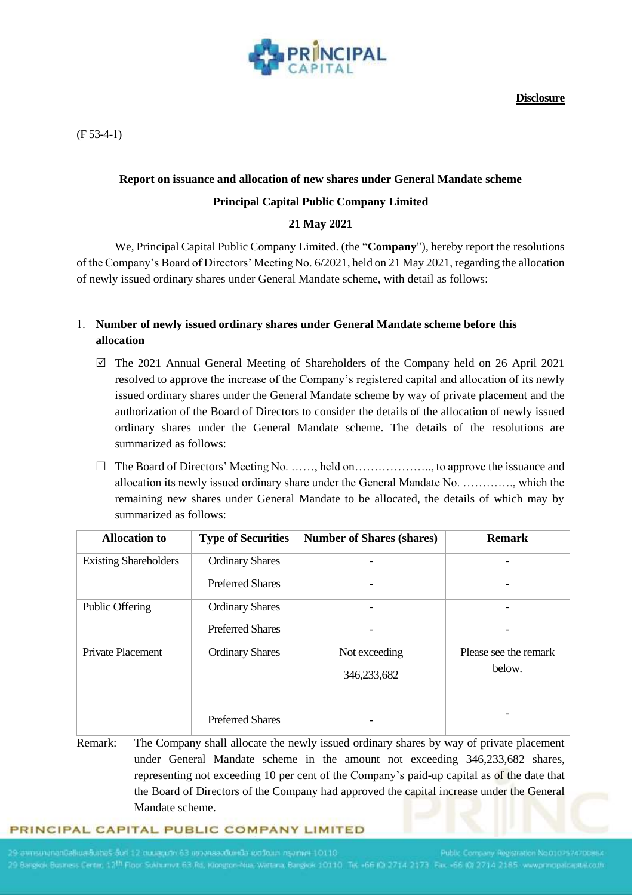

**Disclosure**

(F 53-4-1)

### **Report on issuance and allocation of new shares under General Mandate scheme**

### **Principal Capital Public Company Limited**

## **21 May 2021**

We, Principal Capital Public Company Limited. (the "**Company**"), hereby report the resolutions of the Company's Board of Directors' Meeting No. 6/2021, held on 21 May 2021, regarding the allocation of newly issued ordinary shares under General Mandate scheme, with detail as follows:

# 1. **Number of newly issued ordinary shares under General Mandate scheme before this allocation**

- $\boxtimes$  The 2021 Annual General Meeting of Shareholders of the Company held on 26 April 2021 resolved to approve the increase of the Company's registered capital and allocation of its newly issued ordinary shares under the General Mandate scheme by way of private placement and the authorization of the Board of Directors to consider the details of the allocation of newly issued ordinary shares under the General Mandate scheme. The details of the resolutions are summarized as follows:
- $\Box$  The Board of Directors' Meeting No. ……, held on………………….. to approve the issuance and allocation its newly issued ordinary share under the General Mandate No. …………., which the remaining new shares under General Mandate to be allocated, the details of which may by summarized as follows:

| <b>Allocation</b> to         | <b>Type of Securities</b> | <b>Number of Shares (shares)</b> | <b>Remark</b>         |
|------------------------------|---------------------------|----------------------------------|-----------------------|
| <b>Existing Shareholders</b> | <b>Ordinary Shares</b>    |                                  |                       |
|                              | <b>Preferred Shares</b>   |                                  |                       |
| <b>Public Offering</b>       | <b>Ordinary Shares</b>    |                                  |                       |
|                              | <b>Preferred Shares</b>   | $\overline{\phantom{a}}$         |                       |
| Private Placement            | <b>Ordinary Shares</b>    | Not exceeding                    | Please see the remark |
|                              |                           | 346,233,682                      | below.                |
|                              |                           |                                  |                       |
|                              | <b>Preferred Shares</b>   |                                  |                       |

Remark: The Company shall allocate the newly issued ordinary shares by way of private placement under General Mandate scheme in the amount not exceeding 346,233,682 shares, representing not exceeding 10 per cent of the Company's paid-up capital as of the date that the Board of Directors of the Company had approved the capital increase under the General Mandate scheme.

#### PRINCIPAL CAPITAL PUBLIC COMPANY LIMITED

01101 Palment hudbou 6DHiudbeadere mvit 63 Rd, Klongton-Nua, Wattana, Bangkok 10110, Tet +66 (0) 2714 2173. Fax: +6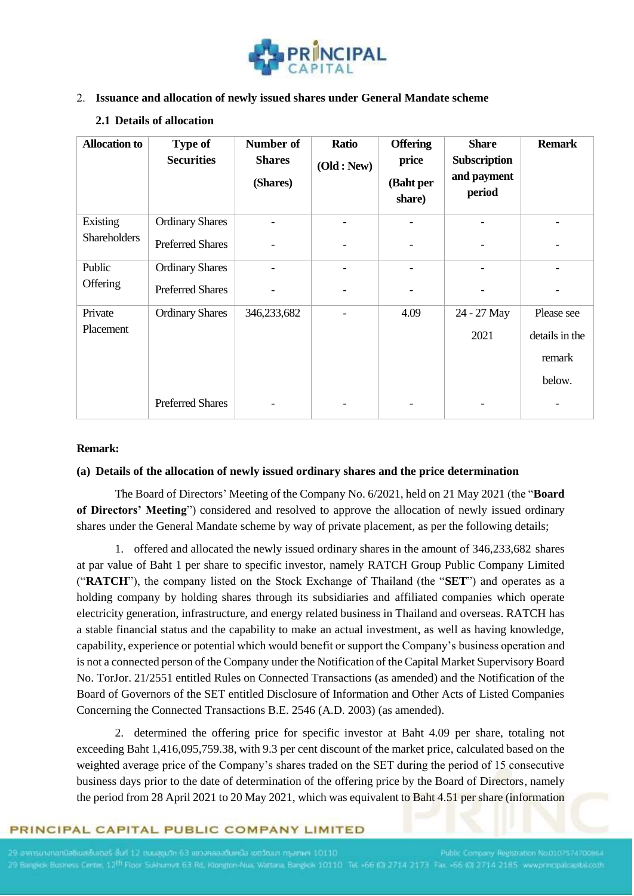

### 2. **Issuance and allocation of newly issued shares under General Mandate scheme**

### **2.1 Details of allocation**

| <b>Allocation to</b> | <b>Type of</b><br><b>Securities</b> | Number of<br><b>Shares</b><br>(Shares) | <b>Ratio</b><br>(Old : New) | <b>Offering</b><br>price<br>(Baht per<br>share) | <b>Share</b><br><b>Subscription</b><br>and payment<br>period | <b>Remark</b>  |
|----------------------|-------------------------------------|----------------------------------------|-----------------------------|-------------------------------------------------|--------------------------------------------------------------|----------------|
| Existing             | <b>Ordinary Shares</b>              |                                        |                             | $\overline{\phantom{a}}$                        |                                                              |                |
| <b>Shareholders</b>  | <b>Preferred Shares</b>             | $\qquad \qquad \blacksquare$           |                             | $\overline{\phantom{a}}$                        |                                                              |                |
| Public               | <b>Ordinary Shares</b>              |                                        |                             | $\overline{\phantom{a}}$                        |                                                              |                |
| Offering             | <b>Preferred Shares</b>             |                                        |                             |                                                 |                                                              |                |
| Private              | <b>Ordinary Shares</b>              | 346,233,682                            |                             | 4.09                                            | 24 - 27 May                                                  | Please see     |
| Placement            |                                     |                                        |                             |                                                 | 2021                                                         | details in the |
|                      |                                     |                                        |                             |                                                 |                                                              | remark         |
|                      |                                     |                                        |                             |                                                 |                                                              | below.         |
|                      | <b>Preferred Shares</b>             |                                        |                             |                                                 |                                                              |                |

### **Remark:**

#### **(a) Details of the allocation of newly issued ordinary shares and the price determination**

The Board of Directors' Meeting of the Company No. 6/2021, held on 21 May 2021 (the "**Board of Directors' Meeting**") considered and resolved to approve the allocation of newly issued ordinary shares under the General Mandate scheme by way of private placement, as per the following details;

1. offered and allocated the newly issued ordinary shares in the amount of 346,233,682 shares at par value of Baht 1 per share to specific investor, namely RATCH Group Public Company Limited ("**RATCH**"), the company listed on the Stock Exchange of Thailand (the "**SET**") and operates as a holding company by holding shares through its subsidiaries and affiliated companies which operate electricity generation, infrastructure, and energy related business in Thailand and overseas. RATCH has a stable financial status and the capability to make an actual investment, as well as having knowledge, capability, experience or potential which would benefit or support the Company's business operation and is not a connected person of the Company under the Notification of the Capital Market Supervisory Board No. TorJor. 21/2551 entitled Rules on Connected Transactions (as amended) and the Notification of the Board of Governors of the SET entitled Disclosure of Information and Other Acts of Listed Companies Concerning the Connected Transactions B.E. 2546 (A.D. 2003) (as amended).

2. determined the offering price for specific investor at Baht 4.09 per share, totaling not exceeding Baht 1,416,095,759.38, with 9.3 per cent discount of the market price, calculated based on the weighted average price of the Company's shares traded on the SET during the period of 15 consecutive business days prior to the date of determination of the offering price by the Board of Directors, namely the period from 28 April 2021 to 20 May 2021, which was equivalent to Baht 4.51 per share (information

# PRINCIPAL CAPITAL PUBLIC COMPANY LIMITED

Centrin, 12<sup>11</sup> Floor Sukhurrivit, 63 Rd. Klongton-Nua, Wattana, Bangkok 10110, Tel: +66 (0) 2714 2173. Fax. +66 (0) 2714-2185 www.nhritis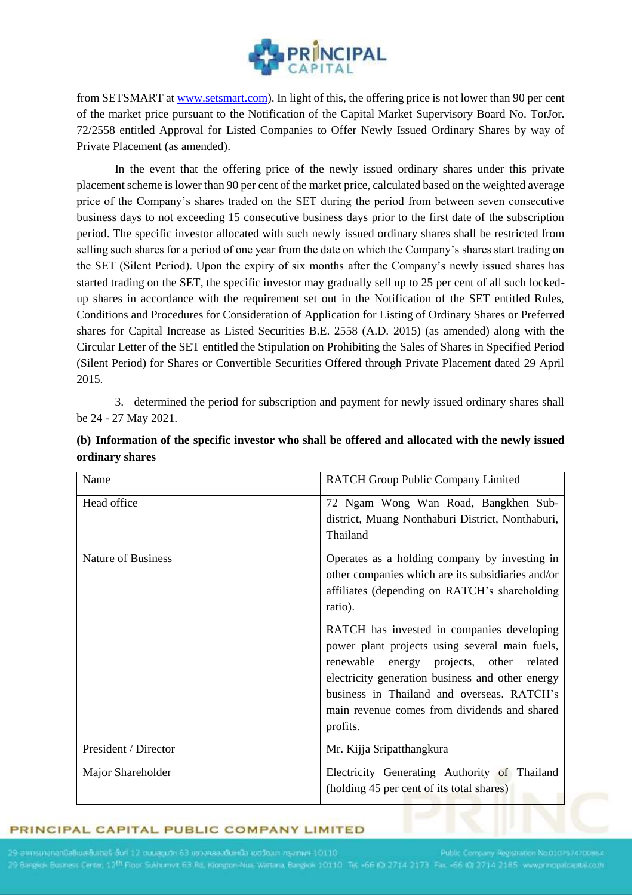

from SETSMART at [www.setsmart.com\)](http://www.setsmart.com/). In light of this, the offering price is not lower than 90 per cent of the market price pursuant to the Notification of the Capital Market Supervisory Board No. TorJor. 72/2558 entitled Approval for Listed Companies to Offer Newly Issued Ordinary Shares by way of Private Placement (as amended).

In the event that the offering price of the newly issued ordinary shares under this private placement scheme is lower than 90 per cent of the market price, calculated based on the weighted average price of the Company's shares traded on the SET during the period from between seven consecutive business days to not exceeding 15 consecutive business days prior to the first date of the subscription period. The specific investor allocated with such newly issued ordinary shares shall be restricted from selling such shares for a period of one year from the date on which the Company's shares start trading on the SET (Silent Period). Upon the expiry of six months after the Company's newly issued shares has started trading on the SET, the specific investor may gradually sell up to 25 per cent of all such lockedup shares in accordance with the requirement set out in the Notification of the SET entitled Rules, Conditions and Procedures for Consideration of Application for Listing of Ordinary Shares or Preferred shares for Capital Increase as Listed Securities B.E. 2558 (A.D. 2015) (as amended) along with the Circular Letter of the SET entitled the Stipulation on Prohibiting the Sales of Shares in Specified Period (Silent Period) for Shares or Convertible Securities Offered through Private Placement dated 29 April 2015.

3. determined the period for subscription and payment for newly issued ordinary shares shall be 24 - 27 May 2021.

| Name                      | <b>RATCH Group Public Company Limited</b>                                                                                                                                                                                                                                                                 |  |
|---------------------------|-----------------------------------------------------------------------------------------------------------------------------------------------------------------------------------------------------------------------------------------------------------------------------------------------------------|--|
| Head office               | 72 Ngam Wong Wan Road, Bangkhen Sub-<br>district, Muang Nonthaburi District, Nonthaburi,<br>Thailand                                                                                                                                                                                                      |  |
| <b>Nature of Business</b> | Operates as a holding company by investing in<br>other companies which are its subsidiaries and/or<br>affiliates (depending on RATCH's shareholding<br>ratio).                                                                                                                                            |  |
|                           | RATCH has invested in companies developing<br>power plant projects using several main fuels,<br>renewable<br>energy projects, other related<br>electricity generation business and other energy<br>business in Thailand and overseas. RATCH's<br>main revenue comes from dividends and shared<br>profits. |  |
| President / Director      | Mr. Kijja Sripatthangkura                                                                                                                                                                                                                                                                                 |  |
| Major Shareholder         | Electricity Generating Authority of Thailand<br>(holding 45 per cent of its total shares)                                                                                                                                                                                                                 |  |

# **(b) Information of the specific investor who shall be offered and allocated with the newly issued ordinary shares**

#### PRINCIPAL CAPITAL PUBLIC COMPANY LIMITED

It 63 Rd, Klongton-Nua; Wattana, Bangkok 10110 Tet +66 (0) 2714 2173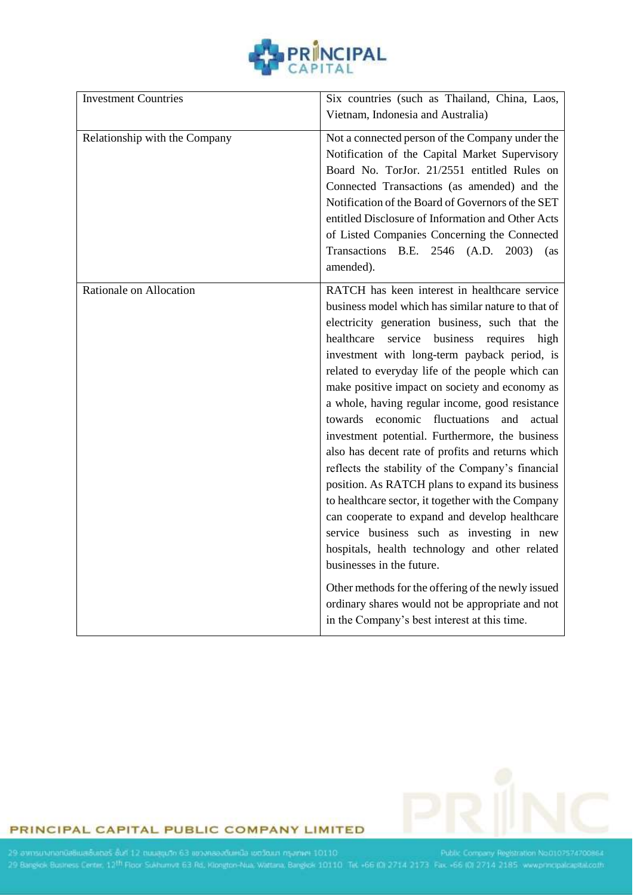

| <b>Investment Countries</b>   | Six countries (such as Thailand, China, Laos,<br>Vietnam, Indonesia and Australia)                                                                                                                                                                                                                                                                                                                                                                                                                                                                                                                                                                                                                                                                                                                                                                                                                                                                                                                                                                                                   |
|-------------------------------|--------------------------------------------------------------------------------------------------------------------------------------------------------------------------------------------------------------------------------------------------------------------------------------------------------------------------------------------------------------------------------------------------------------------------------------------------------------------------------------------------------------------------------------------------------------------------------------------------------------------------------------------------------------------------------------------------------------------------------------------------------------------------------------------------------------------------------------------------------------------------------------------------------------------------------------------------------------------------------------------------------------------------------------------------------------------------------------|
| Relationship with the Company | Not a connected person of the Company under the<br>Notification of the Capital Market Supervisory<br>Board No. TorJor. 21/2551 entitled Rules on<br>Connected Transactions (as amended) and the<br>Notification of the Board of Governors of the SET<br>entitled Disclosure of Information and Other Acts<br>of Listed Companies Concerning the Connected<br>Transactions B.E. 2546 (A.D. 2003) (as<br>amended).                                                                                                                                                                                                                                                                                                                                                                                                                                                                                                                                                                                                                                                                     |
| Rationale on Allocation       | RATCH has keen interest in healthcare service<br>business model which has similar nature to that of<br>electricity generation business, such that the<br>healthcare<br>service<br>business<br>requires high<br>investment with long-term payback period, is<br>related to everyday life of the people which can<br>make positive impact on society and economy as<br>a whole, having regular income, good resistance<br>towards economic fluctuations<br>and<br>actual<br>investment potential. Furthermore, the business<br>also has decent rate of profits and returns which<br>reflects the stability of the Company's financial<br>position. As RATCH plans to expand its business<br>to healthcare sector, it together with the Company<br>can cooperate to expand and develop healthcare<br>service business such as investing in new<br>hospitals, health technology and other related<br>businesses in the future.<br>Other methods for the offering of the newly issued<br>ordinary shares would not be appropriate and not<br>in the Company's best interest at this time. |



## PRINCIPAL CAPITAL PUBLIC COMPANY LIMITED

29 annsurunanüaliwaliumas (uri 12 muaguth 63 azonaaadumua addibun nyamwi 10110 Public Company Registration Nooto7574700864 Public Company Registration Nooto7574700864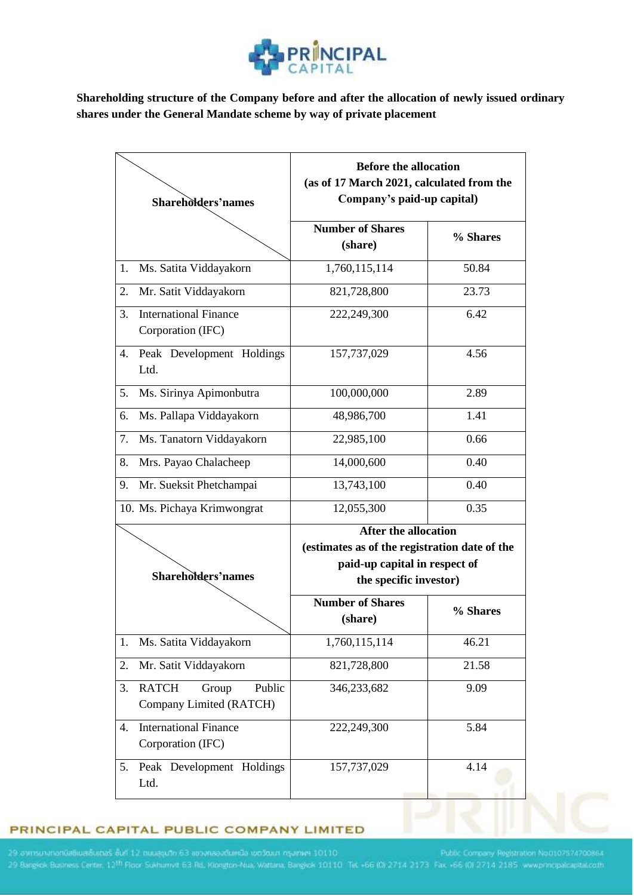

**Shareholding structure of the Company before and after the allocation of newly issued ordinary shares under the General Mandate scheme by way of private placement**

| Shareholders'names |                                                            | <b>Before the allocation</b><br>(as of 17 March 2021, calculated from the<br>Company's paid-up capital)                                 |          |
|--------------------|------------------------------------------------------------|-----------------------------------------------------------------------------------------------------------------------------------------|----------|
|                    |                                                            | <b>Number of Shares</b><br>(share)                                                                                                      | % Shares |
| 1.                 | Ms. Satita Viddayakorn                                     | 1,760,115,114                                                                                                                           | 50.84    |
| 2.                 | Mr. Satit Viddayakorn                                      | 821,728,800                                                                                                                             | 23.73    |
| 3.                 | <b>International Finance</b><br>Corporation (IFC)          | 222,249,300                                                                                                                             | 6.42     |
| 4.                 | Peak Development Holdings<br>Ltd.                          | 157,737,029                                                                                                                             | 4.56     |
| 5.                 | Ms. Sirinya Apimonbutra                                    | 100,000,000                                                                                                                             | 2.89     |
| 6.                 | Ms. Pallapa Viddayakorn                                    | 48,986,700                                                                                                                              | 1.41     |
| 7.                 | Ms. Tanatorn Viddayakorn                                   | 22,985,100                                                                                                                              | 0.66     |
| 8.                 | Mrs. Payao Chalacheep                                      | 14,000,600                                                                                                                              | 0.40     |
| 9.                 | Mr. Sueksit Phetchampai                                    | 13,743,100                                                                                                                              | 0.40     |
|                    | 10. Ms. Pichaya Krimwongrat                                | 12,055,300                                                                                                                              | 0.35     |
|                    | Shareholders'names                                         | <b>After the allocation</b><br>(estimates as of the registration date of the<br>paid-up capital in respect of<br>the specific investor) |          |
|                    |                                                            | <b>Number of Shares</b><br>(share)                                                                                                      | % Shares |
| 1.                 | Ms. Satita Viddayakorn                                     | 1,760,115,114                                                                                                                           | 46.21    |
| 2.                 | Mr. Satit Viddayakorn                                      | 821,728,800                                                                                                                             | 21.58    |
| 3.                 | <b>RATCH</b><br>Public<br>Group<br>Company Limited (RATCH) | 346,233,682                                                                                                                             | 9.09     |
| 4.                 | <b>International Finance</b><br>Corporation (IFC)          | 222,249,300                                                                                                                             | 5.84     |
| 5.                 | Peak Development Holdings<br>Ltd.                          | 157,737,029                                                                                                                             | 4.14     |

### PRINCIPAL CAPITAL PUBLIC COMPANY LIMITED

29 amsununandaliualualuas olif 12 muagusn 63 iibninaaldunda loosuun nyimin 10110 Public Company Registration Nooto7574700864<br>29 Bargkok Busness Centin, 12<sup>th</sup> Floor Sokhumvit 63 Rd. Klongton-Nua, Wattana, Bangkok 10110 Tec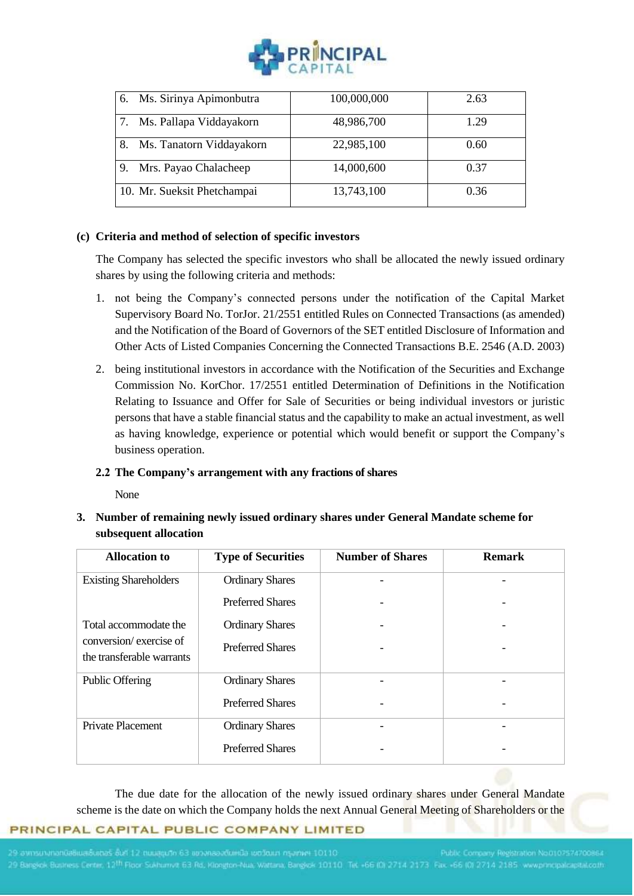

| Ms. Sirinya Apimonbutra<br>6. | 100,000,000 | 2.63 |
|-------------------------------|-------------|------|
| Ms. Pallapa Viddayakorn       | 48,986,700  | 1.29 |
| Ms. Tanatorn Viddayakorn      | 22,985,100  | 0.60 |
| Mrs. Payao Chalacheep<br>9    | 14,000,600  | 0.37 |
| 10. Mr. Sueksit Phetchampai   | 13,743,100  | 0.36 |

### **(c) Criteria and method of selection of specific investors**

The Company has selected the specific investors who shall be allocated the newly issued ordinary shares by using the following criteria and methods:

- 1. not being the Company's connected persons under the notification of the Capital Market Supervisory Board No. TorJor. 21/2551 entitled Rules on Connected Transactions (as amended) and the Notification of the Board of Governors of the SET entitled Disclosure of Information and Other Acts of Listed Companies Concerning the Connected Transactions B.E. 2546 (A.D. 2003)
- 2. being institutional investors in accordance with the Notification of the Securities and Exchange Commission No. KorChor. 17/2551 entitled Determination of Definitions in the Notification Relating to Issuance and Offer for Sale of Securities or being individual investors or juristic persons that have a stable financial status and the capability to make an actual investment, as well as having knowledge, experience or potential which would benefit or support the Company's business operation.

#### **2.2 The Company's arrangement with any fractions of shares**

None

**3. Number of remaining newly issued ordinary shares under General Mandate scheme for subsequent allocation** 

| <b>Allocation</b> to                                | <b>Type of Securities</b> | <b>Number of Shares</b> | <b>Remark</b> |
|-----------------------------------------------------|---------------------------|-------------------------|---------------|
| <b>Existing Shareholders</b>                        | <b>Ordinary Shares</b>    |                         |               |
|                                                     | <b>Preferred Shares</b>   |                         |               |
| Total accommodate the                               | <b>Ordinary Shares</b>    |                         |               |
| conversion/exercise of<br>the transferable warrants | <b>Preferred Shares</b>   |                         |               |
| <b>Public Offering</b>                              | <b>Ordinary Shares</b>    |                         |               |
|                                                     | <b>Preferred Shares</b>   |                         |               |
| Private Placement                                   | <b>Ordinary Shares</b>    |                         |               |
|                                                     | <b>Preferred Shares</b>   |                         |               |

The due date for the allocation of the newly issued ordinary shares under General Mandate scheme is the date on which the Company holds the next Annual General Meeting of Shareholders or the

#### PRINCIPAL CAPITAL PUBLIC COMPANY LIMITED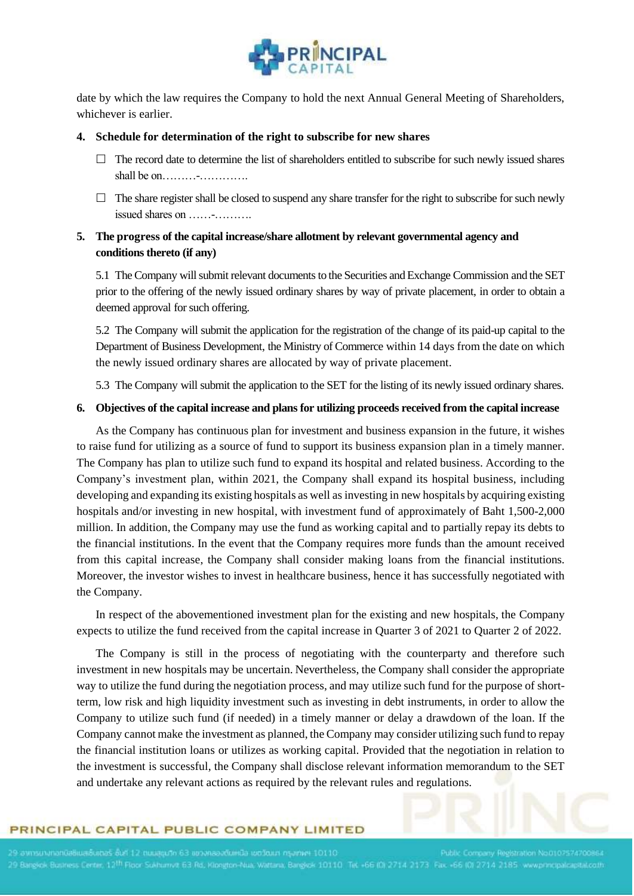

date by which the law requires the Company to hold the next Annual General Meeting of Shareholders, whichever is earlier.

#### **4. Schedule for determination of the right to subscribe for new shares**

- $\Box$  The record date to determine the list of shareholders entitled to subscribe for such newly issued shares shall be on………-………….
- $\Box$  The share register shall be closed to suspend any share transfer for the right to subscribe for such newly issued shares on ……-……….

## **5. The progress of the capital increase/share allotment by relevant governmental agency and conditions thereto (if any)**

5.1 The Company will submit relevant documents to the Securities and Exchange Commission and the SET prior to the offering of the newly issued ordinary shares by way of private placement, in order to obtain a deemed approval for such offering.

5.2 The Company will submit the application for the registration of the change of its paid-up capital to the Department of Business Development, the Ministry of Commerce within 14 days from the date on which the newly issued ordinary shares are allocated by way of private placement.

5.3 The Company will submit the application to the SET for the listing of its newly issued ordinary shares.

#### **6. Objectives of the capital increase and plans for utilizing proceeds received from the capital increase**

As the Company has continuous plan for investment and business expansion in the future, it wishes to raise fund for utilizing as a source of fund to support its business expansion plan in a timely manner. The Company has plan to utilize such fund to expand its hospital and related business. According to the Company's investment plan, within 2021, the Company shall expand its hospital business, including developing and expanding its existing hospitals as well as investing in new hospitals by acquiring existing hospitals and/or investing in new hospital, with investment fund of approximately of Baht 1,500-2,000 million. In addition, the Company may use the fund as working capital and to partially repay its debts to the financial institutions. In the event that the Company requires more funds than the amount received from this capital increase, the Company shall consider making loans from the financial institutions. Moreover, the investor wishes to invest in healthcare business, hence it has successfully negotiated with the Company.

In respect of the abovementioned investment plan for the existing and new hospitals, the Company expects to utilize the fund received from the capital increase in Quarter 3 of 2021 to Quarter 2 of 2022.

The Company is still in the process of negotiating with the counterparty and therefore such investment in new hospitals may be uncertain. Nevertheless, the Company shall consider the appropriate way to utilize the fund during the negotiation process, and may utilize such fund for the purpose of shortterm, low risk and high liquidity investment such as investing in debt instruments, in order to allow the Company to utilize such fund (if needed) in a timely manner or delay a drawdown of the loan. If the Company cannot make the investment as planned, the Company may consider utilizing such fund to repay the financial institution loans or utilizes as working capital. Provided that the negotiation in relation to the investment is successful, the Company shall disclose relevant information memorandum to the SET and undertake any relevant actions as required by the relevant rules and regulations.

#### PRINCIPAL CAPITAL PUBLIC COMPANY LIMITED

ty Registration No.0107574700864 Joess Centin, 12<sup>th</sup> Floor Sukhamvit 63.Rd. Klongton-Nua, Wattana, Bangkok 10110. Tet +66 (0) 2714 2173. Fax +66 (0) 2714 2185. www.princip.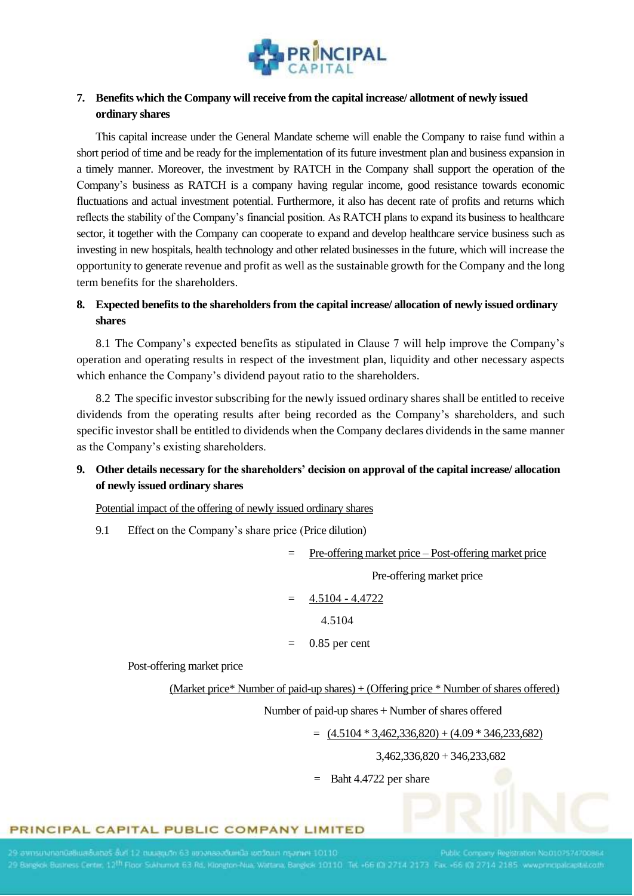

## **7. Benefits which the Company will receive from the capital increase/ allotment of newly issued ordinary shares**

This capital increase under the General Mandate scheme will enable the Company to raise fund within a short period of time and be ready for the implementation of its future investment plan and business expansion in a timely manner. Moreover, the investment by RATCH in the Company shall support the operation of the Company's business as RATCH is a company having regular income, good resistance towards economic fluctuations and actual investment potential. Furthermore, it also has decent rate of profits and returns which reflects the stability of the Company's financial position. As RATCH plans to expand its business to healthcare sector, it together with the Company can cooperate to expand and develop healthcare service business such as investing in new hospitals, health technology and other related businesses in the future, which will increase the opportunity to generate revenue and profit as well as the sustainable growth for the Company and the long term benefits for the shareholders.

## **8. Expected benefits to the shareholders from the capital increase/ allocation of newly issued ordinary shares**

8.1 The Company's expected benefits as stipulated in Clause 7 will help improve the Company's operation and operating results in respect of the investment plan, liquidity and other necessary aspects which enhance the Company's dividend payout ratio to the shareholders.

8.2 The specific investor subscribing for the newly issued ordinary shares shall be entitled to receive dividends from the operating results after being recorded as the Company's shareholders, and such specific investor shall be entitled to dividends when the Company declares dividends in the same manner as the Company's existing shareholders.

## **9. Other details necessary for the shareholders' decision on approval of the capital increase/ allocation of newly issued ordinary shares**

Potential impact of the offering of newly issued ordinary shares

9.1 Effect on the Company's share price (Price dilution)

Pre-offering market price – Post-offering market price

Pre-offering market price

$$
= 4.5104 - 4.4722
$$

4.5104

0.85 per cent

Post-offering market price

(Market price\* Number of paid-up shares) + (Offering price \* Number of shares offered)

Number of paid-up shares + Number of shares offered

 $=$  (4.5104 \* 3,462,336,820) + (4.09 \* 346,233,682)

3,462,336,820 + 346,233,682

= Baht 4.4722 per share

#### PRINCIPAL CAPITAL PUBLIC COMPANY LIMITED

Registration No.0107574700864 29 Bangkok Business Centre, 12<sup>th</sup> Floor Sukhumvit, 63 Rd., Klongton-Nua, Wattana, Bangkok 10110. Tet. -66 (0) 2714 2173. Fax. -66 (0) 2714 2185. www.principalc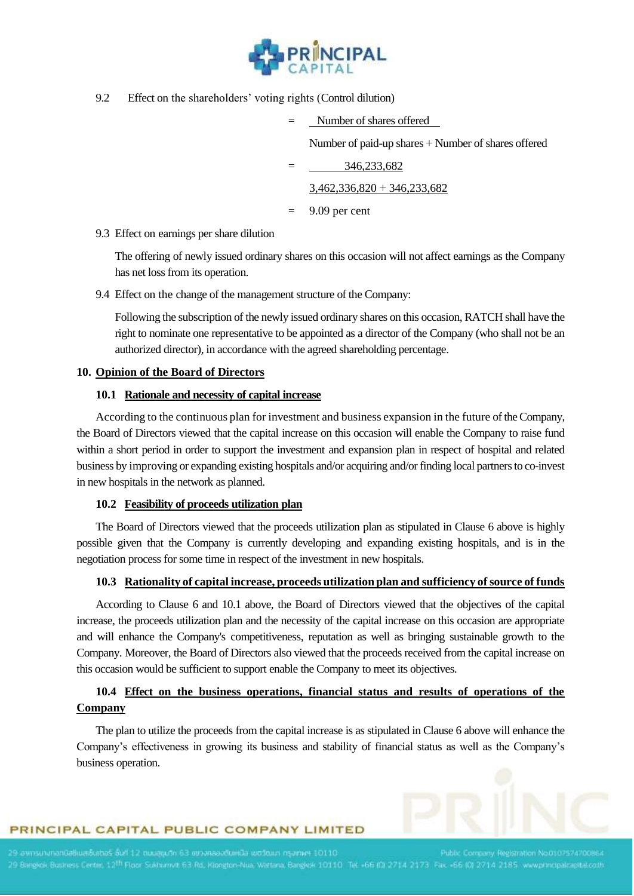

9.2 Effect on the shareholders' voting rights (Control dilution)

|     | Number of shares offered                            |
|-----|-----------------------------------------------------|
|     | Number of paid-up shares + Number of shares offered |
|     | 346,233,682                                         |
|     | $3,462,336,820 + 346,233,682$                       |
| $=$ | 9.09 per cent                                       |

9.3 Effect on earnings per share dilution

The offering of newly issued ordinary shares on this occasion will not affect earnings as the Company has net loss from its operation.

9.4 Effect on the change of the management structure of the Company:

Following the subscription of the newly issued ordinary shares on this occasion, RATCH shall have the right to nominate one representative to be appointed as a director of the Company (who shall not be an authorized director), in accordance with the agreed shareholding percentage.

#### **10. Opinion of the Board of Directors**

#### **10.1 Rationale and necessity of capital increase**

According to the continuous plan for investment and business expansion in the future of the Company, the Board of Directors viewed that the capital increase on this occasion will enable the Company to raise fund within a short period in order to support the investment and expansion plan in respect of hospital and related business by improving or expanding existing hospitals and/or acquiring and/or finding local partners to co-invest in new hospitals in the network as planned.

#### **10.2 Feasibility of proceeds utilization plan**

The Board of Directors viewed that the proceeds utilization plan as stipulated in Clause 6 above is highly possible given that the Company is currently developing and expanding existing hospitals, and is in the negotiation process for some time in respect of the investment in new hospitals.

#### **10.3 Rationality of capital increase, proceeds utilization plan and sufficiency of source of funds**

According to Clause 6 and 10.1 above, the Board of Directors viewed that the objectives of the capital increase, the proceeds utilization plan and the necessity of the capital increase on this occasion are appropriate and will enhance the Company's competitiveness, reputation as well as bringing sustainable growth to the Company. Moreover, the Board of Directors also viewed that the proceeds received from the capital increase on this occasion would be sufficient to support enable the Company to meet its objectives.

# **10.4 Effect on the business operations, financial status and results of operations of the Company**

The plan to utilize the proceeds from the capital increase is as stipulated in Clause 6 above will enhance the Company's effectiveness in growing its business and stability of financial status as well as the Company's business operation.



#### PRINCIPAL CAPITAL PUBLIC COMPANY LIMITED

y Registration No.0107574700864 29 Bangkok Business Centre, 12<sup>th</sup> Floor Sukhumvit 63 Rd, Klongton-Nua, Wattana, Bangkok 10110. Tet +66 (0) 2714 2173. Fax. +66 (0) 2714 2185. www.principal